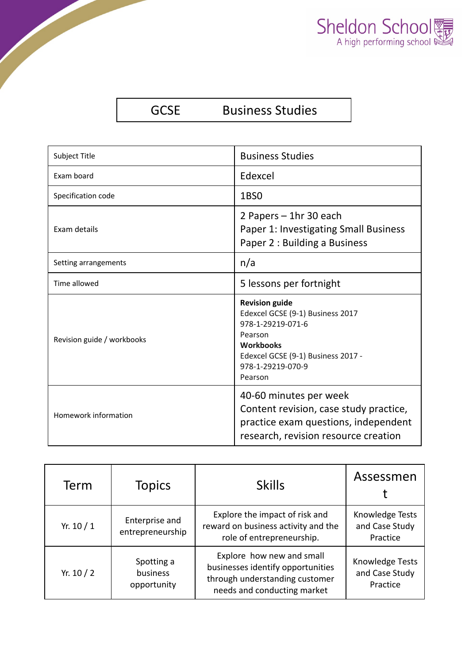

## GCSE Business Studies

| <b>Subject Title</b>       | <b>Business Studies</b>                                                                                                                                    |
|----------------------------|------------------------------------------------------------------------------------------------------------------------------------------------------------|
| Exam board                 | Edexcel                                                                                                                                                    |
| Specification code         | 1BS <sub>0</sub>                                                                                                                                           |
| Exam details               | 2 Papers - 1hr 30 each<br>Paper 1: Investigating Small Business<br>Paper 2 : Building a Business                                                           |
| Setting arrangements       | n/a                                                                                                                                                        |
| Time allowed               | 5 lessons per fortnight                                                                                                                                    |
|                            | <b>Revision guide</b>                                                                                                                                      |
| Revision guide / workbooks | Edexcel GCSE (9-1) Business 2017<br>978-1-29219-071-6<br>Pearson<br><b>Workbooks</b><br>Edexcel GCSE (9-1) Business 2017 -<br>978-1-29219-070-9<br>Pearson |

| Term       | <b>Topics</b>                         | <b>Skills</b>                                                                                                                   | Assessmen                                     |
|------------|---------------------------------------|---------------------------------------------------------------------------------------------------------------------------------|-----------------------------------------------|
| Yr. $10/1$ | Enterprise and<br>entrepreneurship    | Explore the impact of risk and<br>reward on business activity and the<br>role of entrepreneurship.                              | Knowledge Tests<br>and Case Study<br>Practice |
| Yr. $10/2$ | Spotting a<br>business<br>opportunity | Explore how new and small<br>businesses identify opportunities<br>through understanding customer<br>needs and conducting market | Knowledge Tests<br>and Case Study<br>Practice |